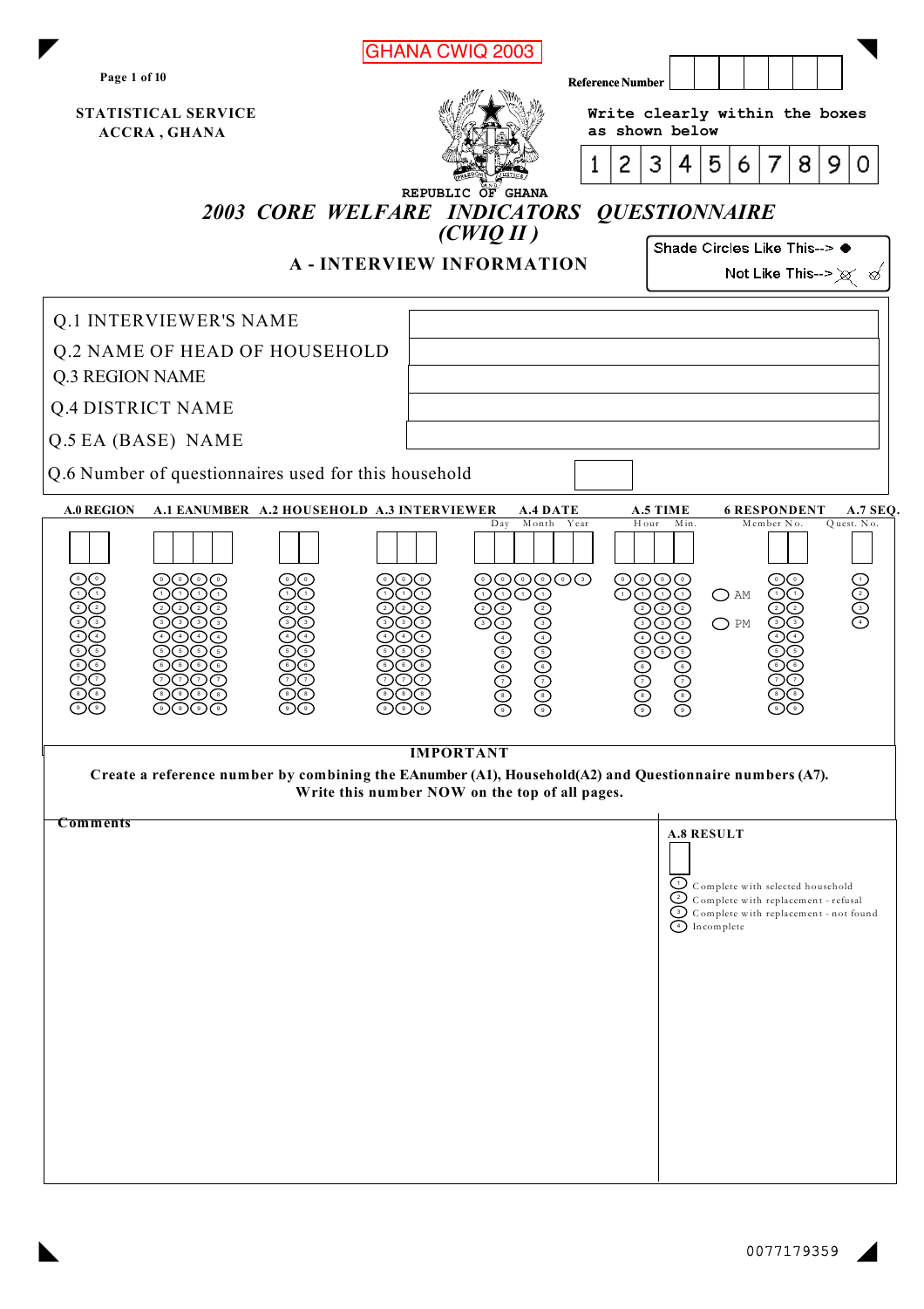|                                                                                                         | <b>GHANA CWIQ 2003</b>                          |                                                                                                |  |  |  |  |
|---------------------------------------------------------------------------------------------------------|-------------------------------------------------|------------------------------------------------------------------------------------------------|--|--|--|--|
| Page 1 of 10                                                                                            | <b>Reference Number</b>                         |                                                                                                |  |  |  |  |
| STATISTICAL SERVICE<br><b>ACCRA, GHANA</b>                                                              |                                                 | Write clearly within the boxes<br>as shown below                                               |  |  |  |  |
|                                                                                                         | 2<br>1                                          | 3<br>4<br>5<br>8<br>9<br>7<br>6.<br>0                                                          |  |  |  |  |
|                                                                                                         | REPUBLIC OF GHANA                               |                                                                                                |  |  |  |  |
|                                                                                                         | 2003 CORE WELFARE INDICATORS<br>(CWIQII)        | <b>QUESTIONNAIRE</b>                                                                           |  |  |  |  |
|                                                                                                         | <b>A-INTERVIEW INFORMATION</b>                  | Shade Circles Like This--> ●<br>Not Like This--> $\chi \ll$                                    |  |  |  |  |
|                                                                                                         |                                                 |                                                                                                |  |  |  |  |
| <b>Q.1 INTERVIEWER'S NAME</b><br><b>Q.2 NAME OF HEAD OF HOUSEHOLD</b>                                   |                                                 |                                                                                                |  |  |  |  |
| <b>Q.3 REGION NAME</b>                                                                                  |                                                 |                                                                                                |  |  |  |  |
| <b>Q.4 DISTRICT NAME</b>                                                                                |                                                 |                                                                                                |  |  |  |  |
| Q.5 EA (BASE) NAME                                                                                      |                                                 |                                                                                                |  |  |  |  |
| Q.6 Number of questionnaires used for this household                                                    |                                                 |                                                                                                |  |  |  |  |
| <b>A.0 REGION</b><br>A.1 EANUMBER A.2 HOUSEHOLD A.3 INTERVIEWER                                         | <b>A.4 DATE</b><br>Month<br>Year<br>Day         | A.5 TIME<br><b>6 RESPONDENT</b><br><b>A.7 SEQ.</b><br>Hour<br>Min.<br>Member No.<br>Quest. No. |  |  |  |  |
|                                                                                                         |                                                 |                                                                                                |  |  |  |  |
| (0)(0)(0)                                                                                               | ©©©©©<br>ଠିଠିତ<br>$\circledcirc\circ$<br>ວ<br>⊙ | $\odot$ O $\odot$ O<br>$\circ$<br>$\bigcirc$ am                                                |  |  |  |  |
|                                                                                                         |                                                 | $\bigcirc$ PM                                                                                  |  |  |  |  |
|                                                                                                         | 9090909<br>900000                               |                                                                                                |  |  |  |  |
|                                                                                                         |                                                 |                                                                                                |  |  |  |  |
|                                                                                                         | <b>IMPORTANT</b>                                |                                                                                                |  |  |  |  |
| Create a reference number by combining the EAnumber (A1), Household(A2) and Questionnaire numbers (A7). |                                                 |                                                                                                |  |  |  |  |
| Comments                                                                                                | Write this number NOW on the top of all pages.  |                                                                                                |  |  |  |  |
|                                                                                                         |                                                 | <b>A.8 RESULT</b>                                                                              |  |  |  |  |
|                                                                                                         |                                                 | $Q$ Complete with selected household<br>Complete with replacement - refusal                    |  |  |  |  |
|                                                                                                         |                                                 | Complete with replacement - not found<br>4 Incomplete                                          |  |  |  |  |
|                                                                                                         |                                                 |                                                                                                |  |  |  |  |
|                                                                                                         |                                                 |                                                                                                |  |  |  |  |
|                                                                                                         |                                                 |                                                                                                |  |  |  |  |
|                                                                                                         |                                                 |                                                                                                |  |  |  |  |
|                                                                                                         |                                                 |                                                                                                |  |  |  |  |
|                                                                                                         |                                                 |                                                                                                |  |  |  |  |
|                                                                                                         |                                                 |                                                                                                |  |  |  |  |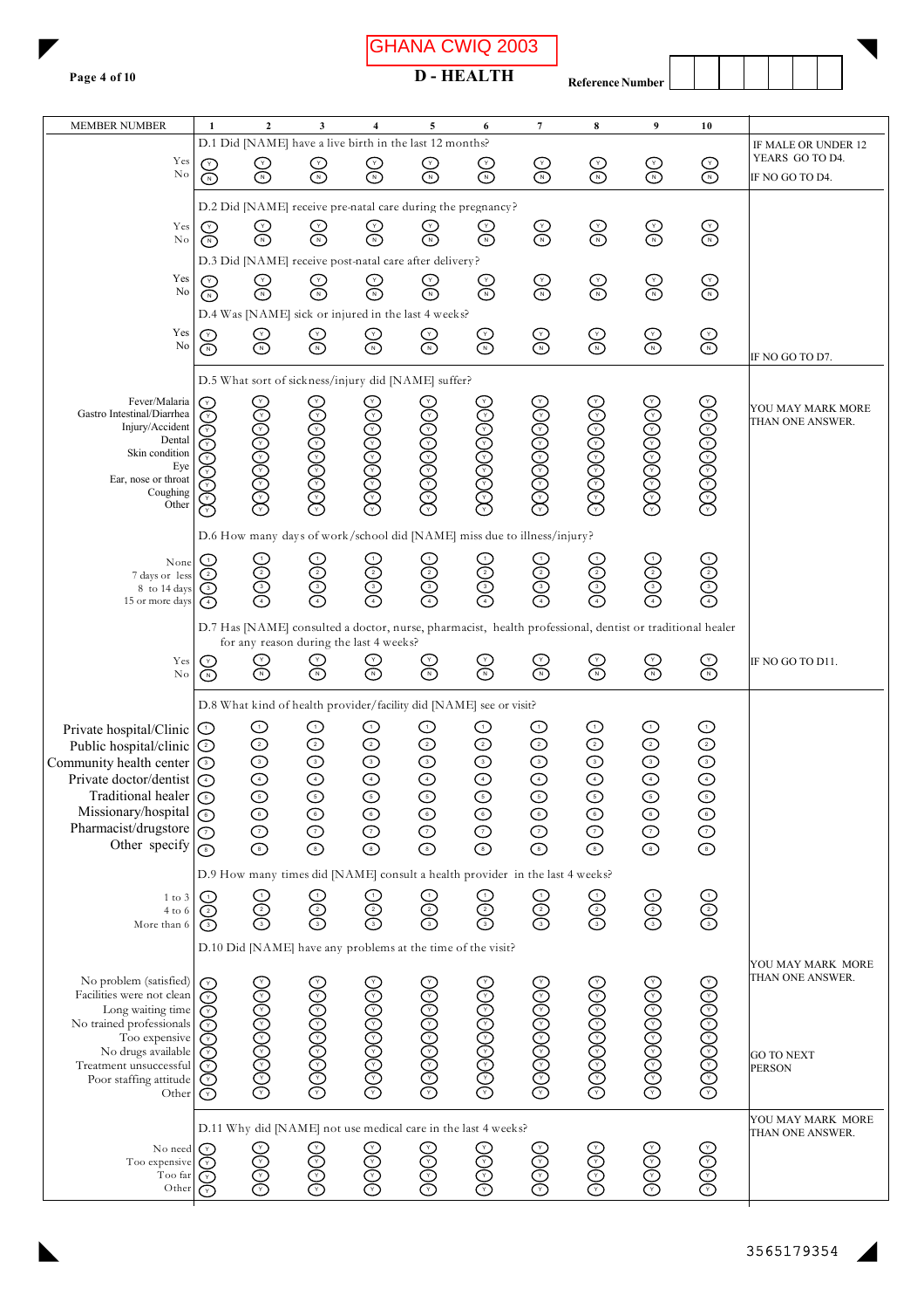GHANA CWIQ 2003

**D-HEALTH** 

Reference Number

| <b>MEMBER NUMBER</b>                           | 1                                                           | 2                                                                       | 3                                    | 4                                       | 5                                                                            | 6          | 7            | 8            | 9                                                                                                        | 10                     |                                        |
|------------------------------------------------|-------------------------------------------------------------|-------------------------------------------------------------------------|--------------------------------------|-----------------------------------------|------------------------------------------------------------------------------|------------|--------------|--------------|----------------------------------------------------------------------------------------------------------|------------------------|----------------------------------------|
| Yes                                            |                                                             | ලි                                                                      |                                      |                                         | D.1 Did [NAME] have a live birth in the last 12 months?<br>$\bigotimes$      | ල<br>ල     | $\bigodot$   | $\bigodot$   | $\bigodot$                                                                                               | $\scriptstyle\rm\odot$ | IF MALE OR UNDER 12<br>YEARS GO TO D4. |
|                                                | $\rm No$<br>Ō<br>তি<br>⊙<br>⌒<br>IF NO GO TO D4.            |                                                                         |                                      |                                         |                                                                              |            |              |              |                                                                                                          |                        |                                        |
|                                                | D.2 Did [NAME] receive pre-natal care during the pregnancy? |                                                                         |                                      |                                         |                                                                              |            |              |              |                                                                                                          |                        |                                        |
| Yes<br>No                                      |                                                             |                                                                         | $\sum_{\alpha}$                      |                                         | $\sum_{\alpha}$                                                              |            | $\bigotimes$ | $\bigotimes$ | $\bigodot$                                                                                               | ල<br>ල                 |                                        |
|                                                | ∩<br>D.3 Did [NAME] receive post-natal care after delivery? |                                                                         |                                      |                                         |                                                                              |            |              |              |                                                                                                          |                        |                                        |
| Yes                                            |                                                             |                                                                         |                                      |                                         |                                                                              |            |              |              |                                                                                                          |                        |                                        |
| No                                             | ⋒                                                           | ္က                                                                      | ္လ                                   | $\mathbb{S}^2$                          | $\mathbb{S}^2$                                                               | ලි         | $\bigodot$   | C<br>O       | $\bigodot$                                                                                               | $\bigodot$             |                                        |
|                                                |                                                             |                                                                         |                                      |                                         | D.4 Was [NAME] sick or injured in the last 4 weeks?                          |            |              |              |                                                                                                          |                        |                                        |
| Yes<br>No                                      | $\bar{\mathbb{O}}$                                          | ⊙<br>©                                                                  | $\mathop{\odot}\limits_{\mathbb{C}}$ | $\bigotimes$                            | $\bigotimes$                                                                 | $\bigodot$ | $\bigodot$   | $\bigotimes$ | $\bigotimes$                                                                                             | $\bigodot$             |                                        |
|                                                |                                                             |                                                                         |                                      |                                         |                                                                              |            |              |              |                                                                                                          |                        | IF NO GO TO D7.                        |
|                                                |                                                             |                                                                         |                                      |                                         | D.5 What sort of sickness/injury did [NAME] suffer?                          |            |              |              |                                                                                                          |                        |                                        |
| Fever/Malaria<br>Gastro Intestinal/Diarrhea    |                                                             |                                                                         |                                      |                                         |                                                                              |            |              |              |                                                                                                          |                        | YOU MAY MARK MORE                      |
| Injury/Accident                                |                                                             |                                                                         |                                      |                                         |                                                                              |            |              |              |                                                                                                          |                        | THAN ONE ANSWER.                       |
| Dental<br>Skin condition                       |                                                             |                                                                         |                                      |                                         |                                                                              |            |              |              |                                                                                                          |                        |                                        |
| Eye<br>Ear, nose or throat                     |                                                             |                                                                         |                                      |                                         |                                                                              |            |              |              |                                                                                                          |                        |                                        |
| Coughing                                       |                                                             | 39999999                                                                | 39999999                             | 399999999                               | 39999999                                                                     | 39999996   | 39999993     | 39999993     | 39999999                                                                                                 | 39999996               |                                        |
| Other                                          | ∩                                                           |                                                                         |                                      |                                         |                                                                              |            |              |              |                                                                                                          |                        |                                        |
|                                                |                                                             | D.6 How many days of work/school did [NAME] miss due to illness/injury? |                                      |                                         |                                                                              |            |              |              |                                                                                                          |                        |                                        |
| None                                           | ↺<br>⊘                                                      |                                                                         | $\odot$ O $\odot$                    | 9999)                                   | 0000                                                                         | 9999       | 9099         | OOOG         | $\odot$ O $\odot$ O                                                                                      | 9000                   |                                        |
| 7 days or less<br>8 to 14 days                 |                                                             | 900G                                                                    |                                      |                                         |                                                                              |            |              |              |                                                                                                          |                        |                                        |
| 15 or more days                                | ↷                                                           |                                                                         |                                      |                                         |                                                                              |            |              |              |                                                                                                          |                        |                                        |
|                                                |                                                             |                                                                         |                                      | for any reason during the last 4 weeks? |                                                                              |            |              |              | D.7 Has [NAME] consulted a doctor, nurse, pharmacist, health professional, dentist or traditional healer |                        |                                        |
| Yes                                            |                                                             |                                                                         |                                      |                                         | ල<br>ල                                                                       |            | ලි           | $\bigotimes$ | $\bigotimes$                                                                                             | $\bigotimes$           | IF NO GO TO D11.                       |
| No                                             | ⊙                                                           | ⋒                                                                       | ∩                                    | ⋒                                       |                                                                              |            |              |              |                                                                                                          |                        |                                        |
|                                                |                                                             |                                                                         |                                      |                                         | D.8 What kind of health provider/facility did [NAME] see or visit?           |            |              |              |                                                                                                          |                        |                                        |
| Private hospital/Clinic                        | ↺                                                           | $_{\odot}$                                                              | ⊙                                    | ⊙                                       | ⊙                                                                            | ⊙          | ⊙            | ⊙            | ⊙                                                                                                        | ⊙                      |                                        |
| Public hospital/clinic                         | ⊙                                                           | $\odot$                                                                 | ⊙                                    | $_{\odot}$                              | ⊙                                                                            | ⊙          | ⊙            | $\odot$      | $\odot$                                                                                                  | $\odot$                |                                        |
| Community health center                        | $\odot$                                                     | $\odot$                                                                 | $\odot$                              | <u>ල</u> ල                              | $\odot$                                                                      | $\odot$    | $\odot$      | $\odot$      | $\odot$                                                                                                  | $\odot$                |                                        |
| Private doctor/dentist<br>Traditional healer   | $\bigcirc$<br>⊙                                             |                                                                         |                                      |                                         | $\bigodot$                                                                   |            | $\bigodot$   |              | $\bigodot$                                                                                               |                        |                                        |
| Missionary/hospital $\bigcirc$                 |                                                             | ⊙                                                                       | $\odot$                              | ⊙                                       | $\odot$                                                                      | $\odot$    | $\odot$      | $\odot$      | $\odot$                                                                                                  | $\odot$                |                                        |
| Pharmacist/drugstore                           | $\circlearrowright$                                         | ⊙                                                                       | ⊙                                    | ⊙                                       | $\odot$                                                                      | ⊙          | ⊙            | ⊙            | ⊙                                                                                                        | ⊙                      |                                        |
| Other specify                                  | ⊙                                                           | $\odot$                                                                 | $\odot$                              | ⊙                                       | $\odot$                                                                      | $\odot$    | $\odot$      | $\odot$      | $\odot$                                                                                                  | $\odot$                |                                        |
|                                                |                                                             |                                                                         |                                      |                                         | D.9 How many times did [NAME] consult a health provider in the last 4 weeks? |            |              |              |                                                                                                          |                        |                                        |
| $1 \text{ to } 3$                              |                                                             | ↺                                                                       | ك                                    | ↺                                       | ↺                                                                            | ↺          | ↺            |              |                                                                                                          |                        |                                        |
| $4$ to $6$<br>More than 6                      | ⊙<br>(3)                                                    | ⊙<br>⊙                                                                  | ල<br>ල                               | ⊙                                       | ල<br>ල                                                                       | ⊙          | Õ<br>③       | ලල<br>ම      | ලලල                                                                                                      | <u>ලල</u>              |                                        |
|                                                |                                                             |                                                                         |                                      |                                         | D.10 Did [NAME] have any problems at the time of the visit?                  |            |              |              |                                                                                                          |                        |                                        |
|                                                |                                                             |                                                                         |                                      |                                         |                                                                              |            |              |              |                                                                                                          |                        | YOU MAY MARK MORE                      |
| No problem (satisfied)                         |                                                             |                                                                         |                                      |                                         |                                                                              |            |              |              |                                                                                                          |                        | THAN ONE ANSWER.                       |
| Facilities were not clean<br>Long waiting time | ⊙                                                           |                                                                         |                                      |                                         |                                                                              |            |              |              |                                                                                                          |                        |                                        |
| No trained professionals                       |                                                             |                                                                         |                                      |                                         |                                                                              |            |              |              |                                                                                                          |                        |                                        |
| Too expensive<br>No drugs available            |                                                             |                                                                         |                                      |                                         |                                                                              |            |              |              |                                                                                                          |                        | <b>GO TO NEXT</b>                      |
| Treatment unsuccessful                         |                                                             |                                                                         |                                      |                                         |                                                                              |            |              |              |                                                                                                          |                        | <b>PERSON</b>                          |
| Poor staffing attitude<br>Other                | ( Y )<br>⊙                                                  | 900000000                                                               | 36666666                             | 300000000                               | 36666666                                                                     | 36666666   | 36666666     | 369999999    | 36966666                                                                                                 | 300000000              |                                        |
|                                                |                                                             |                                                                         |                                      |                                         |                                                                              |            |              |              |                                                                                                          |                        |                                        |
|                                                |                                                             |                                                                         |                                      |                                         | D.11 Why did [NAME] not use medical care in the last 4 weeks?                |            |              |              |                                                                                                          |                        | YOU MAY MARK MORE<br>THAN ONE ANSWER.  |
| No need<br>Too expensive                       | ( Y )<br>(Y)                                                |                                                                         |                                      |                                         |                                                                              |            |              |              |                                                                                                          |                        |                                        |
| Too far                                        |                                                             | 3669                                                                    | 3669                                 | 3669                                    | 3669                                                                         | 3666       | 3669         | <b>0000</b>  | 6666                                                                                                     | <b>8999</b>            |                                        |
| Other                                          | ⊙                                                           |                                                                         |                                      |                                         |                                                                              |            |              |              |                                                                                                          |                        |                                        |